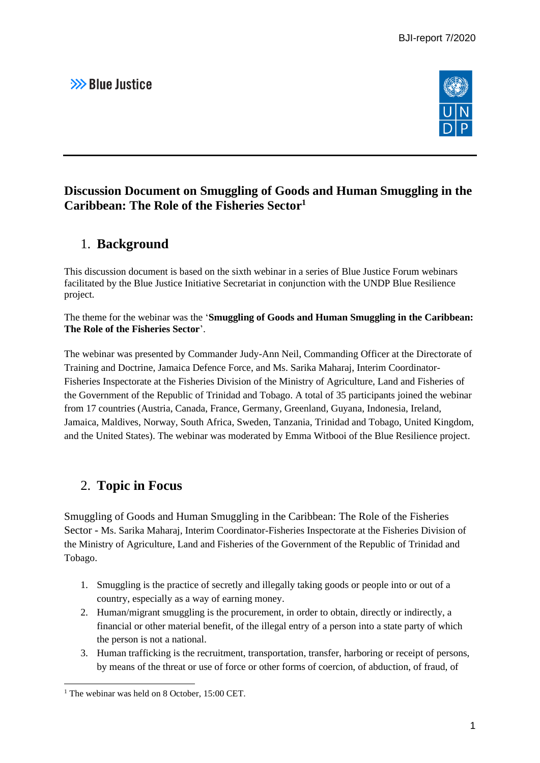# >>> Blue Justice



### **Discussion Document on Smuggling of Goods and Human Smuggling in the Caribbean: The Role of the Fisheries Sector<sup>1</sup>**

## 1. **Background**

This discussion document is based on the sixth webinar in a series of Blue Justice Forum webinars facilitated by the Blue Justice Initiative Secretariat in conjunction with the UNDP Blue Resilience project.

The theme for the webinar was the '**Smuggling of Goods and Human Smuggling in the Caribbean: The Role of the Fisheries Sector**'.

The webinar was presented by Commander Judy-Ann Neil, Commanding Officer at the Directorate of Training and Doctrine, Jamaica Defence Force, and Ms. Sarika Maharaj, Interim Coordinator-Fisheries Inspectorate at the Fisheries Division of the Ministry of Agriculture, Land and Fisheries of the Government of the Republic of Trinidad and Tobago. A total of 35 participants joined the webinar from 17 countries (Austria, Canada, France, Germany, Greenland, Guyana, Indonesia, Ireland, Jamaica, Maldives, Norway, South Africa, Sweden, Tanzania, Trinidad and Tobago, United Kingdom, and the United States). The webinar was moderated by Emma Witbooi of the Blue Resilience project.

### 2. **Topic in Focus**

Smuggling of Goods and Human Smuggling in the Caribbean: The Role of the Fisheries Sector - Ms. Sarika Maharaj, Interim Coordinator-Fisheries Inspectorate at the Fisheries Division of the Ministry of Agriculture, Land and Fisheries of the Government of the Republic of Trinidad and Tobago.

- 1. Smuggling is the practice of secretly and illegally taking goods or people into or out of a country, especially as a way of earning money.
- 2. Human/migrant smuggling is the procurement, in order to obtain, directly or indirectly, a financial or other material benefit, of the illegal entry of a person into a state party of which the person is not a national.
- 3. Human trafficking is the recruitment, transportation, transfer, harboring or receipt of persons, by means of the threat or use of force or other forms of coercion, of abduction, of fraud, of

<sup>&</sup>lt;sup>1</sup> The webinar was held on 8 October, 15:00 CET.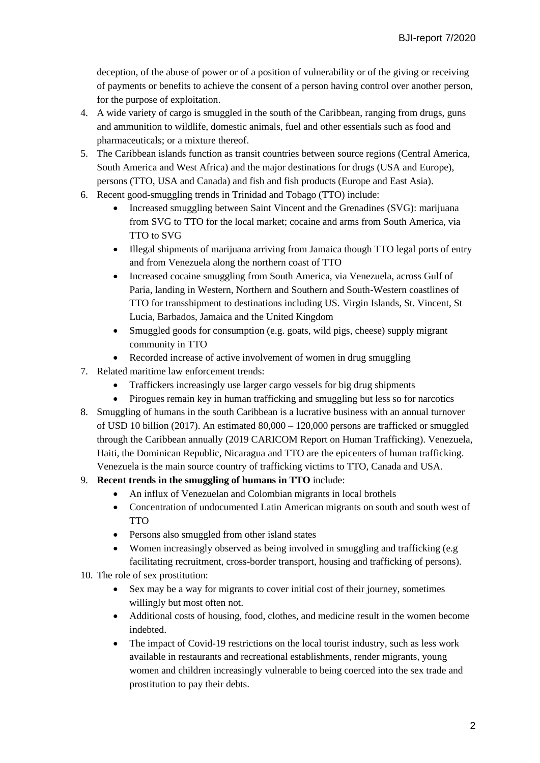deception, of the abuse of power or of a position of vulnerability or of the giving or receiving of payments or benefits to achieve the consent of a person having control over another person, for the purpose of exploitation.

- 4. A wide variety of cargo is smuggled in the south of the Caribbean, ranging from drugs, guns and ammunition to wildlife, domestic animals, fuel and other essentials such as food and pharmaceuticals; or a mixture thereof.
- 5. The Caribbean islands function as transit countries between source regions (Central America, South America and West Africa) and the major destinations for drugs (USA and Europe), persons (TTO, USA and Canada) and fish and fish products (Europe and East Asia).
- 6. Recent good-smuggling trends in Trinidad and Tobago (TTO) include:
	- Increased smuggling between Saint Vincent and the Grenadines (SVG): marijuana from SVG to TTO for the local market; cocaine and arms from South America, via TTO to SVG
	- Illegal shipments of marijuana arriving from Jamaica though TTO legal ports of entry and from Venezuela along the northern coast of TTO
	- Increased cocaine smuggling from South America, via Venezuela, across Gulf of Paria, landing in Western, Northern and Southern and South-Western coastlines of TTO for transshipment to destinations including US. Virgin Islands, St. Vincent, St Lucia, Barbados, Jamaica and the United Kingdom
	- Smuggled goods for consumption (e.g. goats, wild pigs, cheese) supply migrant community in TTO
	- Recorded increase of active involvement of women in drug smuggling
- 7. Related maritime law enforcement trends:
	- Traffickers increasingly use larger cargo vessels for big drug shipments
	- Pirogues remain key in human trafficking and smuggling but less so for narcotics
- 8. Smuggling of humans in the south Caribbean is a lucrative business with an annual turnover of USD 10 billion (2017). An estimated 80,000 – 120,000 persons are trafficked or smuggled through the Caribbean annually (2019 CARICOM Report on Human Trafficking). Venezuela, Haiti, the Dominican Republic, Nicaragua and TTO are the epicenters of human trafficking. Venezuela is the main source country of trafficking victims to TTO, Canada and USA.
- 9. **Recent trends in the smuggling of humans in TTO** include:
	- An influx of Venezuelan and Colombian migrants in local brothels
	- Concentration of undocumented Latin American migrants on south and south west of TTO
	- Persons also smuggled from other island states
	- Women increasingly observed as being involved in smuggling and trafficking (e.g. facilitating recruitment, cross-border transport, housing and trafficking of persons).
- 10. The role of sex prostitution:
	- Sex may be a way for migrants to cover initial cost of their journey, sometimes willingly but most often not.
	- Additional costs of housing, food, clothes, and medicine result in the women become indebted.
	- The impact of Covid-19 restrictions on the local tourist industry, such as less work available in restaurants and recreational establishments, render migrants, young women and children increasingly vulnerable to being coerced into the sex trade and prostitution to pay their debts.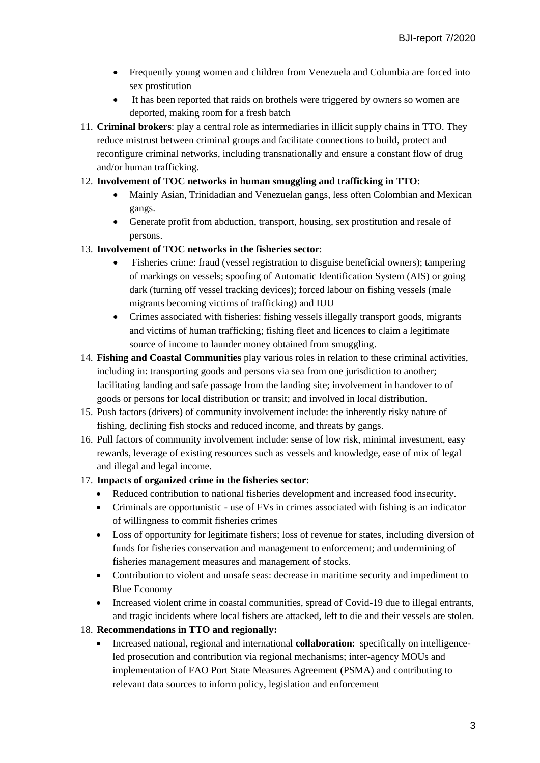- Frequently young women and children from Venezuela and Columbia are forced into sex prostitution
- It has been reported that raids on brothels were triggered by owners so women are deported, making room for a fresh batch
- 11. **Criminal brokers**: play a central role as intermediaries in illicit supply chains in TTO. They reduce mistrust between criminal groups and facilitate connections to build, protect and reconfigure criminal networks, including transnationally and ensure a constant flow of drug and/or human trafficking.

#### 12. **Involvement of TOC networks in human smuggling and trafficking in TTO**:

- Mainly Asian, Trinidadian and Venezuelan gangs, less often Colombian and Mexican gangs.
- Generate profit from abduction, transport, housing, sex prostitution and resale of persons.

#### 13. **Involvement of TOC networks in the fisheries sector**:

- Fisheries crime: fraud (vessel registration to disguise beneficial owners); tampering of markings on vessels; spoofing of Automatic Identification System (AIS) or going dark (turning off vessel tracking devices); forced labour on fishing vessels (male migrants becoming victims of trafficking) and IUU
- Crimes associated with fisheries: fishing vessels illegally transport goods, migrants and victims of human trafficking; fishing fleet and licences to claim a legitimate source of income to launder money obtained from smuggling.
- 14. **Fishing and Coastal Communities** play various roles in relation to these criminal activities, including in: transporting goods and persons via sea from one jurisdiction to another; facilitating landing and safe passage from the landing site; involvement in handover to of goods or persons for local distribution or transit; and involved in local distribution.
- 15. Push factors (drivers) of community involvement include: the inherently risky nature of fishing, declining fish stocks and reduced income, and threats by gangs.
- 16. Pull factors of community involvement include: sense of low risk, minimal investment, easy rewards, leverage of existing resources such as vessels and knowledge, ease of mix of legal and illegal and legal income.

#### 17. **Impacts of organized crime in the fisheries sector**:

- Reduced contribution to national fisheries development and increased food insecurity.
- Criminals are opportunistic use of FVs in crimes associated with fishing is an indicator of willingness to commit fisheries crimes
- Loss of opportunity for legitimate fishers; loss of revenue for states, including diversion of funds for fisheries conservation and management to enforcement; and undermining of fisheries management measures and management of stocks.
- Contribution to violent and unsafe seas: decrease in maritime security and impediment to Blue Economy
- Increased violent crime in coastal communities, spread of Covid-19 due to illegal entrants, and tragic incidents where local fishers are attacked, left to die and their vessels are stolen.

#### 18. **Recommendations in TTO and regionally:**

• Increased national, regional and international **collaboration**: specifically on intelligenceled prosecution and contribution via regional mechanisms; inter-agency MOUs and implementation of FAO Port State Measures Agreement (PSMA) and contributing to relevant data sources to inform policy, legislation and enforcement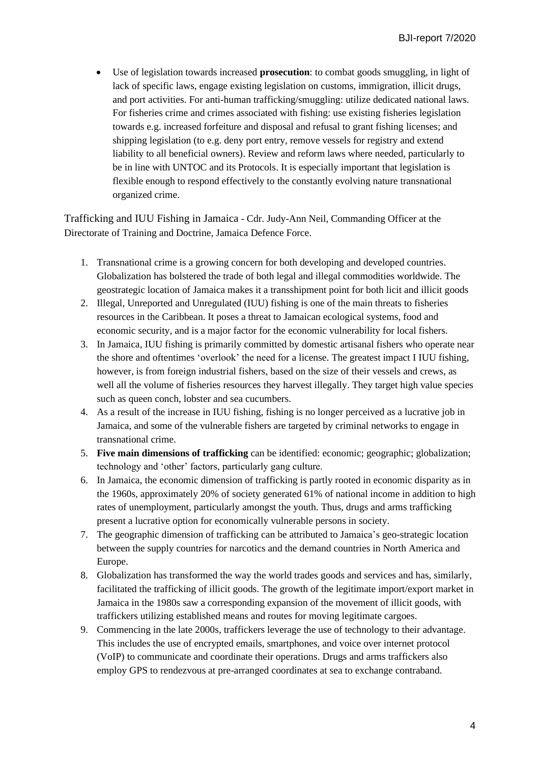• Use of legislation towards increased **prosecution**: to combat goods smuggling, in light of lack of specific laws, engage existing legislation on customs, immigration, illicit drugs, and port activities. For anti-human trafficking/smuggling: utilize dedicated national laws. For fisheries crime and crimes associated with fishing: use existing fisheries legislation towards e.g. increased forfeiture and disposal and refusal to grant fishing licenses; and shipping legislation (to e.g. deny port entry, remove vessels for registry and extend liability to all beneficial owners). Review and reform laws where needed, particularly to be in line with UNTOC and its Protocols. It is especially important that legislation is flexible enough to respond effectively to the constantly evolving nature transnational organized crime.

Trafficking and IUU Fishing in Jamaica - Cdr. Judy-Ann Neil, Commanding Officer at the Directorate of Training and Doctrine, Jamaica Defence Force.

- 1. Transnational crime is a growing concern for both developing and developed countries. Globalization has bolstered the trade of both legal and illegal commodities worldwide. The geostrategic location of Jamaica makes it a transshipment point for both licit and illicit goods
- 2. Illegal, Unreported and Unregulated (IUU) fishing is one of the main threats to fisheries resources in the Caribbean. It poses a threat to Jamaican ecological systems, food and economic security, and is a major factor for the economic vulnerability for local fishers.
- 3. In Jamaica, IUU fishing is primarily committed by domestic artisanal fishers who operate near the shore and oftentimes 'overlook' the need for a license. The greatest impact I IUU fishing, however, is from foreign industrial fishers, based on the size of their vessels and crews, as well all the volume of fisheries resources they harvest illegally. They target high value species such as queen conch, lobster and sea cucumbers.
- 4. As a result of the increase in IUU fishing, fishing is no longer perceived as a lucrative job in Jamaica, and some of the vulnerable fishers are targeted by criminal networks to engage in transnational crime.
- 5. **Five main dimensions of trafficking** can be identified: economic; geographic; globalization; technology and 'other' factors, particularly gang culture.
- 6. In Jamaica, the economic dimension of trafficking is partly rooted in economic disparity as in the 1960s, approximately 20% of society generated 61% of national income in addition to high rates of unemployment, particularly amongst the youth. Thus, drugs and arms trafficking present a lucrative option for economically vulnerable persons in society.
- 7. The geographic dimension of trafficking can be attributed to Jamaica's geo-strategic location between the supply countries for narcotics and the demand countries in North America and Europe.
- 8. Globalization has transformed the way the world trades goods and services and has, similarly, facilitated the trafficking of illicit goods. The growth of the legitimate import/export market in Jamaica in the 1980s saw a corresponding expansion of the movement of illicit goods, with traffickers utilizing established means and routes for moving legitimate cargoes.
- 9. Commencing in the late 2000s, traffickers leverage the use of technology to their advantage. This includes the use of encrypted emails, smartphones, and voice over internet protocol (VoIP) to communicate and coordinate their operations. Drugs and arms traffickers also employ GPS to rendezvous at pre-arranged coordinates at sea to exchange contraband.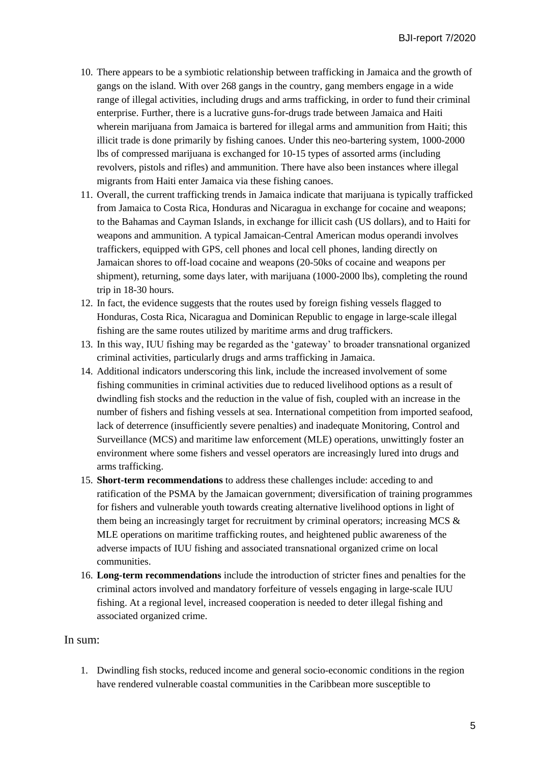- 10. There appears to be a symbiotic relationship between trafficking in Jamaica and the growth of gangs on the island. With over 268 gangs in the country, gang members engage in a wide range of illegal activities, including drugs and arms trafficking, in order to fund their criminal enterprise. Further, there is a lucrative guns-for-drugs trade between Jamaica and Haiti wherein marijuana from Jamaica is bartered for illegal arms and ammunition from Haiti; this illicit trade is done primarily by fishing canoes. Under this neo-bartering system, 1000-2000 lbs of compressed marijuana is exchanged for 10-15 types of assorted arms (including revolvers, pistols and rifles) and ammunition. There have also been instances where illegal migrants from Haiti enter Jamaica via these fishing canoes.
- 11. Overall, the current trafficking trends in Jamaica indicate that marijuana is typically trafficked from Jamaica to Costa Rica, Honduras and Nicaragua in exchange for cocaine and weapons; to the Bahamas and Cayman Islands, in exchange for illicit cash (US dollars), and to Haiti for weapons and ammunition. A typical Jamaican-Central American modus operandi involves traffickers, equipped with GPS, cell phones and local cell phones, landing directly on Jamaican shores to off-load cocaine and weapons (20-50ks of cocaine and weapons per shipment), returning, some days later, with marijuana (1000-2000 lbs), completing the round trip in 18-30 hours.
- 12. In fact, the evidence suggests that the routes used by foreign fishing vessels flagged to Honduras, Costa Rica, Nicaragua and Dominican Republic to engage in large-scale illegal fishing are the same routes utilized by maritime arms and drug traffickers.
- 13. In this way, IUU fishing may be regarded as the 'gateway' to broader transnational organized criminal activities, particularly drugs and arms trafficking in Jamaica.
- 14. Additional indicators underscoring this link, include the increased involvement of some fishing communities in criminal activities due to reduced livelihood options as a result of dwindling fish stocks and the reduction in the value of fish, coupled with an increase in the number of fishers and fishing vessels at sea. International competition from imported seafood, lack of deterrence (insufficiently severe penalties) and inadequate Monitoring, Control and Surveillance (MCS) and maritime law enforcement (MLE) operations, unwittingly foster an environment where some fishers and vessel operators are increasingly lured into drugs and arms trafficking.
- 15. **Short-term recommendations** to address these challenges include: acceding to and ratification of the PSMA by the Jamaican government; diversification of training programmes for fishers and vulnerable youth towards creating alternative livelihood options in light of them being an increasingly target for recruitment by criminal operators; increasing MCS  $\&$ MLE operations on maritime trafficking routes, and heightened public awareness of the adverse impacts of IUU fishing and associated transnational organized crime on local communities.
- 16. **Long-term recommendations** include the introduction of stricter fines and penalties for the criminal actors involved and mandatory forfeiture of vessels engaging in large-scale IUU fishing. At a regional level, increased cooperation is needed to deter illegal fishing and associated organized crime.

### In sum:

1. Dwindling fish stocks, reduced income and general socio-economic conditions in the region have rendered vulnerable coastal communities in the Caribbean more susceptible to